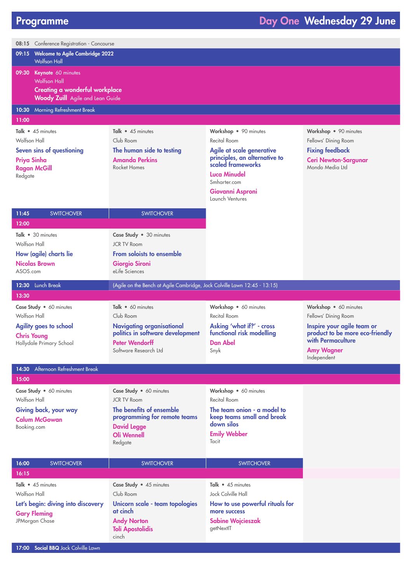| 08:15 Conference Registration - Concourse                    |                                                                           |                                                    |                                                      |  |  |
|--------------------------------------------------------------|---------------------------------------------------------------------------|----------------------------------------------------|------------------------------------------------------|--|--|
| 09:15 Welcome to Agile Cambridge 2022                        |                                                                           |                                                    |                                                      |  |  |
| <b>Wolfson Hall</b>                                          |                                                                           |                                                    |                                                      |  |  |
| 09:30 Keynote 60 minutes                                     |                                                                           |                                                    |                                                      |  |  |
| <b>Wolfson Hall</b><br><b>Creating a wonderful workplace</b> |                                                                           |                                                    |                                                      |  |  |
| <b>Woody Zuill</b> Agile and Lean Guide                      |                                                                           |                                                    |                                                      |  |  |
| 10:30 Morning Refreshment Break                              |                                                                           |                                                    |                                                      |  |  |
| 11:00                                                        |                                                                           |                                                    |                                                      |  |  |
| Talk • 45 minutes                                            | Talk $\bullet$ 45 minutes                                                 | Workshop • 90 minutes                              | Workshop • 90 minutes                                |  |  |
| Wolfson Hall                                                 | Club Room                                                                 | Recital Room                                       | Fellows' Dining Room                                 |  |  |
| Seven sins of questioning                                    | The human side to testing                                                 | Agile at scale generative                          | <b>Fixing feedback</b>                               |  |  |
| Priya Sinha                                                  | <b>Amanda Perkins</b>                                                     | principles, an alternative to<br>scaled frameworks | <b>Ceri Newton-Sargunar</b>                          |  |  |
| <b>Ragan McGill</b>                                          | Rocket Homes                                                              | <b>Luca Minudel</b>                                | Mondo Media Ltd                                      |  |  |
| Redgate                                                      |                                                                           | Smharter.com                                       |                                                      |  |  |
|                                                              |                                                                           | Giovanni Asproni                                   |                                                      |  |  |
|                                                              |                                                                           | Launch Ventures                                    |                                                      |  |  |
| 11:45<br><b>SWITCHOVER</b>                                   | <b>SWITCHOVER</b>                                                         |                                                    |                                                      |  |  |
| 12:00                                                        |                                                                           |                                                    |                                                      |  |  |
| Talk • 30 minutes                                            | Case Study . 30 minutes                                                   |                                                    |                                                      |  |  |
| Wolfson Hall                                                 | <b>JCR TV Room</b>                                                        |                                                    |                                                      |  |  |
| How (agile) charts lie                                       | <b>From soloists to ensemble</b>                                          |                                                    |                                                      |  |  |
| <b>Nicolas Brown</b>                                         | <b>Giorgio Sironi</b>                                                     |                                                    |                                                      |  |  |
| ASOS.com                                                     | eLife Sciences                                                            |                                                    |                                                      |  |  |
|                                                              |                                                                           |                                                    |                                                      |  |  |
| 12:30 Lunch Break                                            | (Agile on the Bench at Agile Cambridge, Jock Colville Lawn 12:45 - 13:15) |                                                    |                                                      |  |  |
| 13:30                                                        |                                                                           |                                                    |                                                      |  |  |
| Case Study . 60 minutes                                      | Talk • 60 minutes                                                         | Workshop • 60 minutes                              | Workshop • 60 minutes                                |  |  |
| Wolfson Hall                                                 | Club Room                                                                 | Recital Room                                       | Fellows' Dining Room                                 |  |  |
| <b>Agility goes to school</b>                                | <b>Navigating organisational</b>                                          | Asking 'what if?' - cross                          | Inspire your agile team or                           |  |  |
| <b>Chris Young</b>                                           | politics in software development                                          | functional risk modelling                          | product to be more eco-friendly<br>with Permaculture |  |  |
| Hollydale Primary School                                     | <b>Peter Wendorff</b><br>Software Research Ltd                            | <b>Dan Abel</b><br>Snyk                            | <b>Amy Wagner</b>                                    |  |  |
|                                                              |                                                                           |                                                    | Independent                                          |  |  |
| 14:30 Afternoon Refreshment Break                            |                                                                           |                                                    |                                                      |  |  |
| 15:00                                                        |                                                                           |                                                    |                                                      |  |  |
| Case Study . 60 minutes                                      | Case Study . 60 minutes                                                   | Workshop • 60 minutes                              |                                                      |  |  |
| Wolfson Hall                                                 | <b>JCR TV Room</b>                                                        | Recital Room                                       |                                                      |  |  |
| Giving back, your way                                        | The benefits of ensemble                                                  | The team onion - a model to                        |                                                      |  |  |
| <b>Calum McGowan</b><br>Booking.com                          | programming for remote teams<br><b>David Legge</b>                        | keep teams small and break<br>down silos           |                                                      |  |  |
|                                                              | <b>Oli Wennell</b>                                                        | <b>Emily Webber</b>                                |                                                      |  |  |
|                                                              | Redgate                                                                   | Tacit                                              |                                                      |  |  |
|                                                              |                                                                           |                                                    |                                                      |  |  |
| 16:00<br><b>SWITCHOVER</b><br>16:15                          | <b>SWITCHOVER</b>                                                         | <b>SWITCHOVER</b>                                  |                                                      |  |  |
| Talk • 45 minutes                                            |                                                                           | Talk • 45 minutes                                  |                                                      |  |  |
| Wolfson Hall                                                 | Case Study • 45 minutes<br>Club Room                                      | Jock Colville Hall                                 |                                                      |  |  |
| Let's begin: diving into discovery                           | Unicorn scale - team topologies                                           | How to use powerful rituals for                    |                                                      |  |  |

Gary Fleming JPMorgan Chase

Andy Norton Toli Apostolidis cinch

more success Sabine Wojcieszak getNextIT